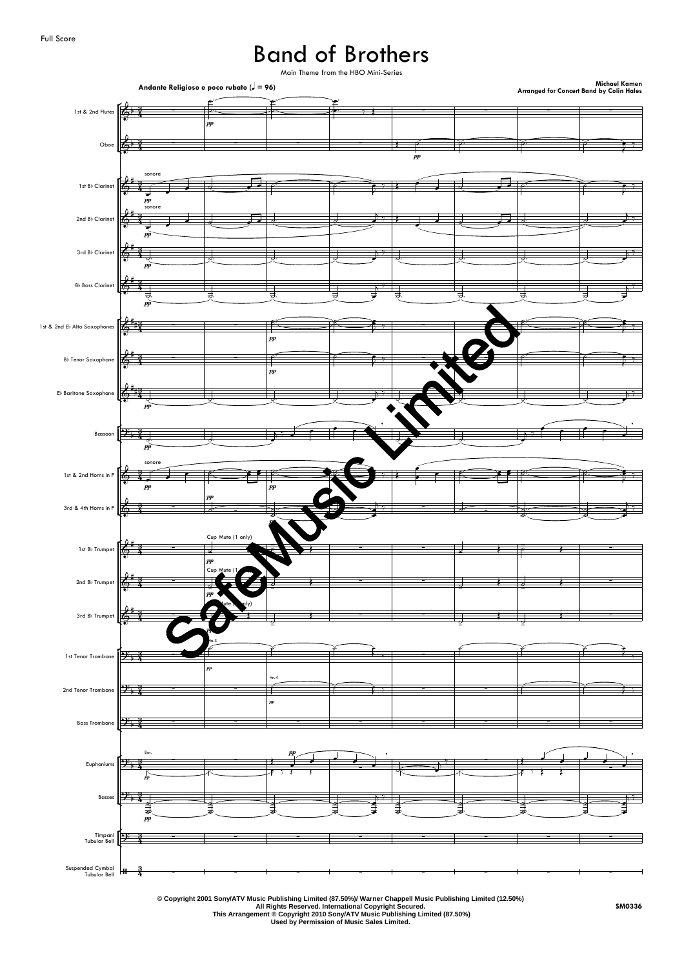## Band of Brothers



**© Copyright 2001 Sony/ATV Music Publishing Limited (87.50%)/ Warner Chappell Music Publishing Limited (12.50%)**

**All Rights Reserved. International Copyright Secured.**

**This Arrangement © Copyright 2010 Sony/ATV Music Publishing Limited (87.50%) Used by Permission of Music Sales Limited.**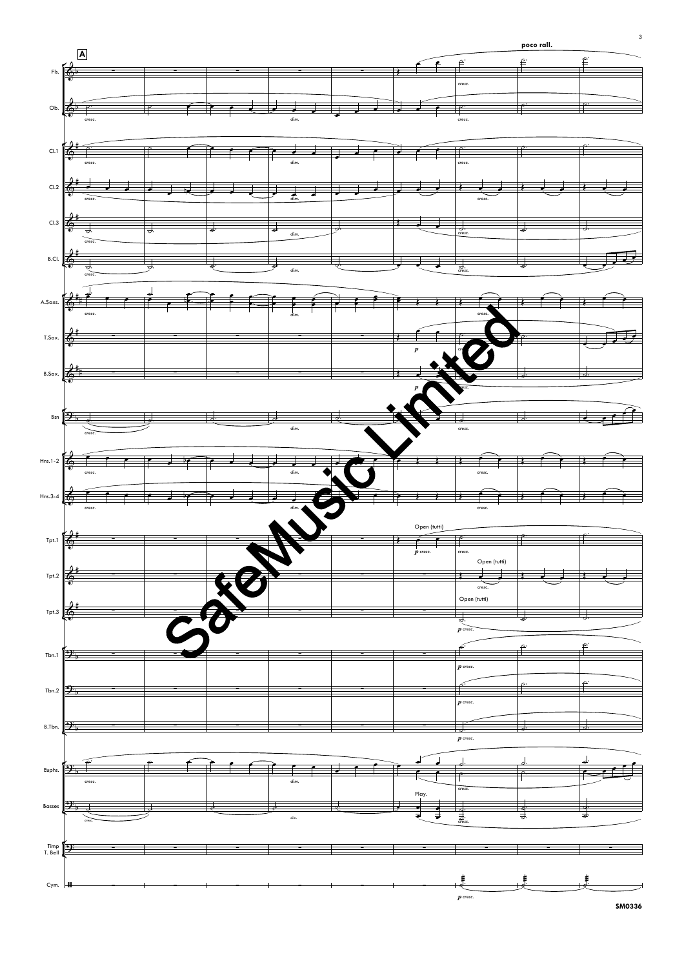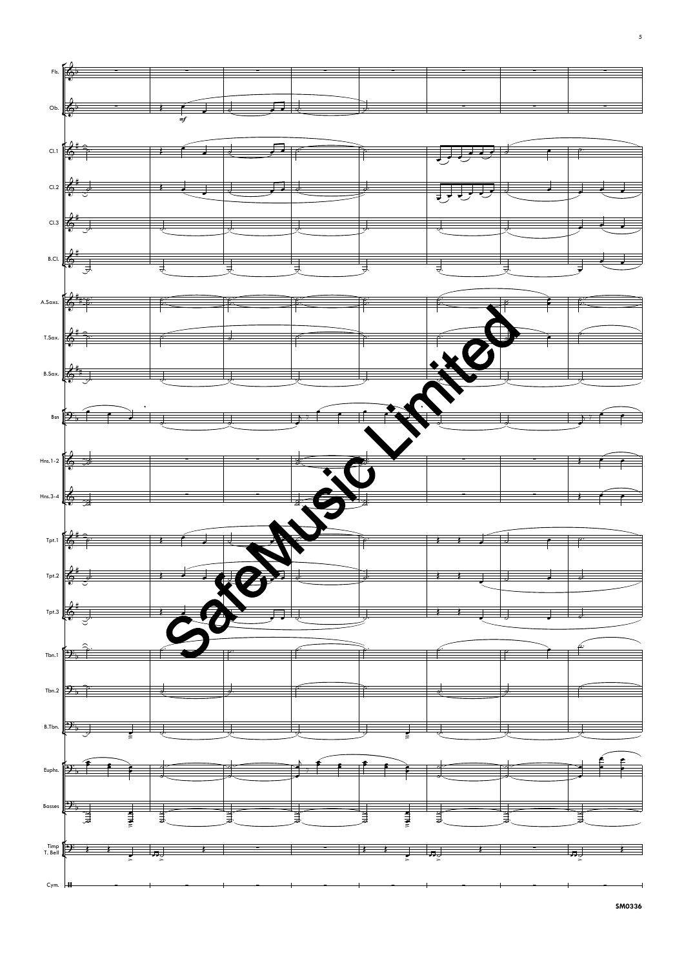